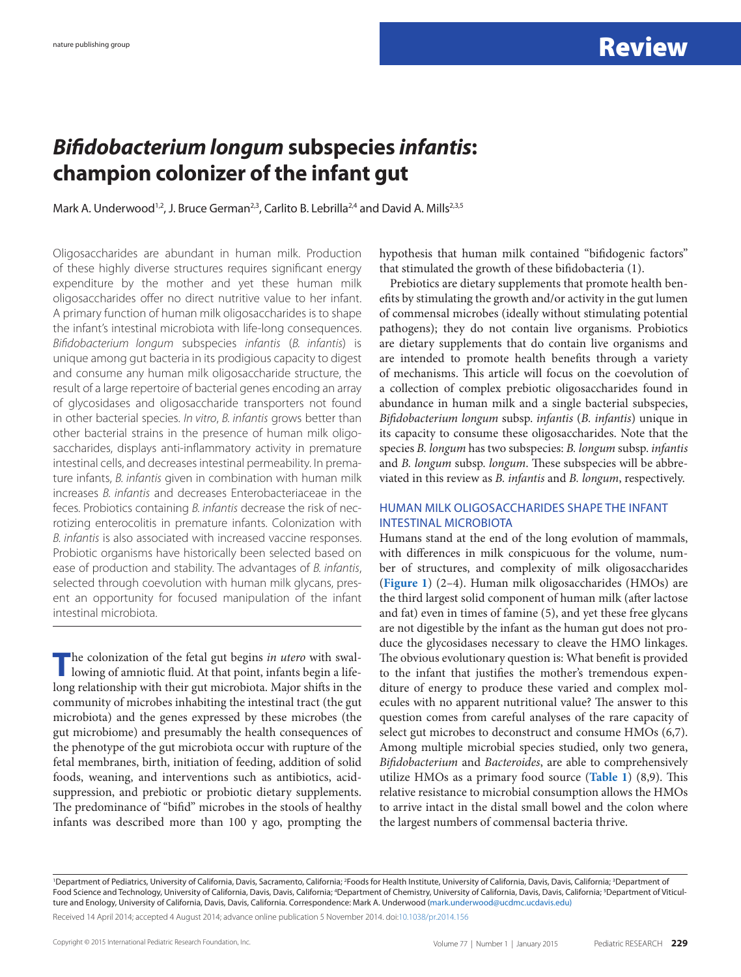## *Bifidobacterium longum* **subspecies** *infantis***: champion colonizer of the infant gut**

Mark A. Underwood<sup>1,2</sup>, J. Bruce German<sup>2,3</sup>, Carlito B. Lebrilla<sup>2,4</sup> and David A. Mills<sup>2,3,5</sup>

Oligosaccharides are abundant in human milk. Production of these highly diverse structures requires significant energy expenditure by the mother and yet these human milk oligosaccharides offer no direct nutritive value to her infant. A primary function of human milk oligosaccharides is to shape the infant's intestinal microbiota with life-long consequences. *Bifidobacterium longum* subspecies *infantis* (*B. infantis*) is unique among gut bacteria in its prodigious capacity to digest and consume any human milk oligosaccharide structure, the result of a large repertoire of bacterial genes encoding an array of glycosidases and oligosaccharide transporters not found in other bacterial species. *In vitro*, *B. infantis* grows better than other bacterial strains in the presence of human milk oligosaccharides, displays anti-inflammatory activity in premature intestinal cells, and decreases intestinal permeability. In premature infants, *B. infantis* given in combination with human milk increases *B. infantis* and decreases Enterobacteriaceae in the feces. Probiotics containing *B. infantis* decrease the risk of necrotizing enterocolitis in premature infants. Colonization with *B. infantis* is also associated with increased vaccine responses. Probiotic organisms have historically been selected based on ease of production and stability. The advantages of *B. infantis*, selected through coevolution with human milk glycans, present an opportunity for focused manipulation of the infant intestinal microbiota.

**T**he colonization of the fetal gut begins *in utero* with swallowing of amniotic fluid. At that point, infants begin a lifelong relationship with their gut microbiota. Major shifts in the community of microbes inhabiting the intestinal tract (the gut microbiota) and the genes expressed by these microbes (the gut microbiome) and presumably the health consequences of the phenotype of the gut microbiota occur with rupture of the fetal membranes, birth, initiation of feeding, addition of solid foods, weaning, and interventions such as antibiotics, acidsuppression, and prebiotic or probiotic dietary supplements. The predominance of "bifid" microbes in the stools of healthy infants was described more than 100 y ago, prompting the hypothesis that human milk contained "bifidogenic factors" that stimulated the growth of these bifidobacteria (1).

Prebiotics are dietary supplements that promote health benefits by stimulating the growth and/or activity in the gut lumen of commensal microbes (ideally without stimulating potential pathogens); they do not contain live organisms. Probiotics are dietary supplements that do contain live organisms and are intended to promote health benefits through a variety of mechanisms. This article will focus on the coevolution of a collection of complex prebiotic oligosaccharides found in abundance in human milk and a single bacterial subspecies, *Bifidobacterium longum* subsp. *infantis* (*B. infantis*) unique in its capacity to consume these oligosaccharides. Note that the species *B. longum* has two subspecies: *B. longum* subsp. *infantis* and *B. longum* subsp. *longum*. These subspecies will be abbreviated in this review as *B. infantis* and *B. longum*, respectively.

#### HUMAN MILK OLIGOSACCHARIDES SHAPE THE INFANT INTESTINAL MICROBIOTA

Humans stand at the end of the long evolution of mammals, with differences in milk conspicuous for the volume, number of structures, and complexity of milk oligosaccharides (**[Figure 1](#page-1-0)**) (2–4). Human milk oligosaccharides (HMOs) are the third largest solid component of human milk (after lactose and fat) even in times of famine (5), and yet these free glycans are not digestible by the infant as the human gut does not produce the glycosidases necessary to cleave the HMO linkages. The obvious evolutionary question is: What benefit is provided to the infant that justifies the mother's tremendous expenditure of energy to produce these varied and complex molecules with no apparent nutritional value? The answer to this question comes from careful analyses of the rare capacity of select gut microbes to deconstruct and consume HMOs (6,7). Among multiple microbial species studied, only two genera, *Bifidobacterium* and *Bacteroides*, are able to comprehensively utilize HMOs as a primary food source (**[Table 1](#page-1-1)**) (8,9). This relative resistance to microbial consumption allows the HMOs to arrive intact in the distal small bowel and the colon where the largest numbers of commensal bacteria thrive.

<sup>&#</sup>x27;Department of Pediatrics, University of California, Davis, Sacramento, California; <sup>2</sup>Foods for Health Institute, University of California, Davis, Davis, California; <sup>3</sup>Department of Food Science and Technology, University of California, Davis, Davis, California; <sup>4</sup>Department of Chemistry, University of California, Davis, Davis, California; <sup>5</sup>Department of Viticulture and Enology, University of California, Davis, Davis, California. Correspondence: Mark A. Underwood ([mark.underwood@ucdmc.ucdavis.edu\)](mailto:mark.underwood@ucdmc.ucdavis.edu))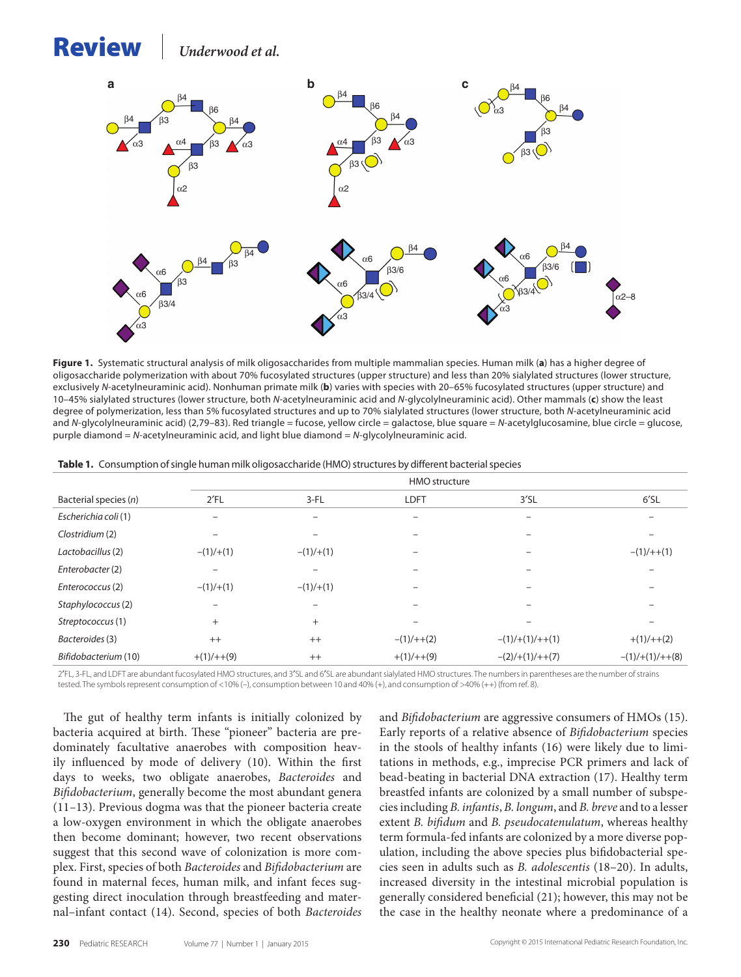# <span id="page-1-0"></span>Review *Underwood et al.*



**Figure 1.** Systematic structural analysis of milk oligosaccharides from multiple mammalian species. Human milk (**a**) has a higher degree of oligosaccharide polymerization with about 70% fucosylated structures (upper structure) and less than 20% sialylated structures (lower structure, exclusively *N*-acetylneuraminic acid). Nonhuman primate milk (**b**) varies with species with 20–65% fucosylated structures (upper structure) and 10–45% sialylated structures (lower structure, both *N*-acetylneuraminic acid and *N*-glycolylneuraminic acid). Other mammals (**c**) show the least degree of polymerization, less than 5% fucosylated structures and up to 70% sialylated structures (lower structure, both *N*-acetylneuraminic acid and *N*-glycolylneuraminic acid) (2,79–83). Red triangle = fucose, yellow circle = galactose, blue square = *N*-acetylglucosamine, blue circle = glucose, purple diamond = *N*-acetylneuraminic acid, and light blue diamond = *N*-glycolylneuraminic acid.

<span id="page-1-1"></span>

|  |  |  |  | Table 1. Consumption of single human milk oligosaccharide (HMO) structures by different bacterial species |  |
|--|--|--|--|-----------------------------------------------------------------------------------------------------------|--|
|--|--|--|--|-----------------------------------------------------------------------------------------------------------|--|

|                       |              | <b>HMO</b> structure |                   |                     |                           |  |
|-----------------------|--------------|----------------------|-------------------|---------------------|---------------------------|--|
| Bacterial species (n) | 2'FL         | $3-FL$               | <b>LDFT</b>       | $3'$ SL             | 6'SL                      |  |
| Escherichia coli (1)  |              |                      | $\qquad \qquad -$ |                     |                           |  |
| Clostridium (2)       |              |                      |                   |                     |                           |  |
| Lactobacillus (2)     | $-(1)/+(1)$  | $-(1)/+(1)$          | -                 |                     | $-(1)/++(1)$              |  |
| Enterobacter (2)      |              |                      |                   |                     |                           |  |
| Enterococcus (2)      | $-(1)/+(1)$  | $-(1)/+(1)$          |                   |                     |                           |  |
| Staphylococcus (2)    |              |                      |                   |                     |                           |  |
| Streptococcus (1)     | $^{+}$       | $+$                  |                   |                     |                           |  |
| Bacteroides (3)       | $++$         | $++$                 | $-(1)/++(2)$      | $-(1)/+(1)/++(1)$   | $+(1)/++(2)$              |  |
| Bifidobacterium (10)  | $+(1)/++(9)$ | $^{++}$              | $+(1)/++(9)$      | $-(2)/(+(1)/++(7))$ | $-(1)$ /+ $(1)$ /+ $+(8)$ |  |

2′FL, 3-FL, and LDFT are abundant fucosylated HMO structures, and 3′SL and 6′SL are abundant sialylated HMO structures. The numbers in parentheses are the number of strains tested. The symbols represent consumption of <10% (–), consumption between 10 and 40% (+), and consumption of >40% (++) (from ref. 8).

The gut of healthy term infants is initially colonized by bacteria acquired at birth. These "pioneer" bacteria are predominately facultative anaerobes with composition heavily influenced by mode of delivery (10). Within the first days to weeks, two obligate anaerobes, *Bacteroides* and *Bifidobacterium*, generally become the most abundant genera (11–13). Previous dogma was that the pioneer bacteria create a low-oxygen environment in which the obligate anaerobes then become dominant; however, two recent observations suggest that this second wave of colonization is more complex. First, species of both *Bacteroides* and *Bifidobacterium* are found in maternal feces, human milk, and infant feces suggesting direct inoculation through breastfeeding and maternal–infant contact (14). Second, species of both *Bacteroides* and *Bifidobacterium* are aggressive consumers of HMOs (15). Early reports of a relative absence of *Bifidobacterium* species in the stools of healthy infants (16) were likely due to limitations in methods, e.g., imprecise PCR primers and lack of bead-beating in bacterial DNA extraction (17). Healthy term breastfed infants are colonized by a small number of subspecies including *B. infantis*, *B. longum*, and *B. breve* and to a lesser extent *B. bifidum* and *B. pseudocatenulatum*, whereas healthy term formula-fed infants are colonized by a more diverse population, including the above species plus bifidobacterial species seen in adults such as *B. adolescentis* (18–20). In adults, increased diversity in the intestinal microbial population is generally considered beneficial (21); however, this may not be the case in the healthy neonate where a predominance of a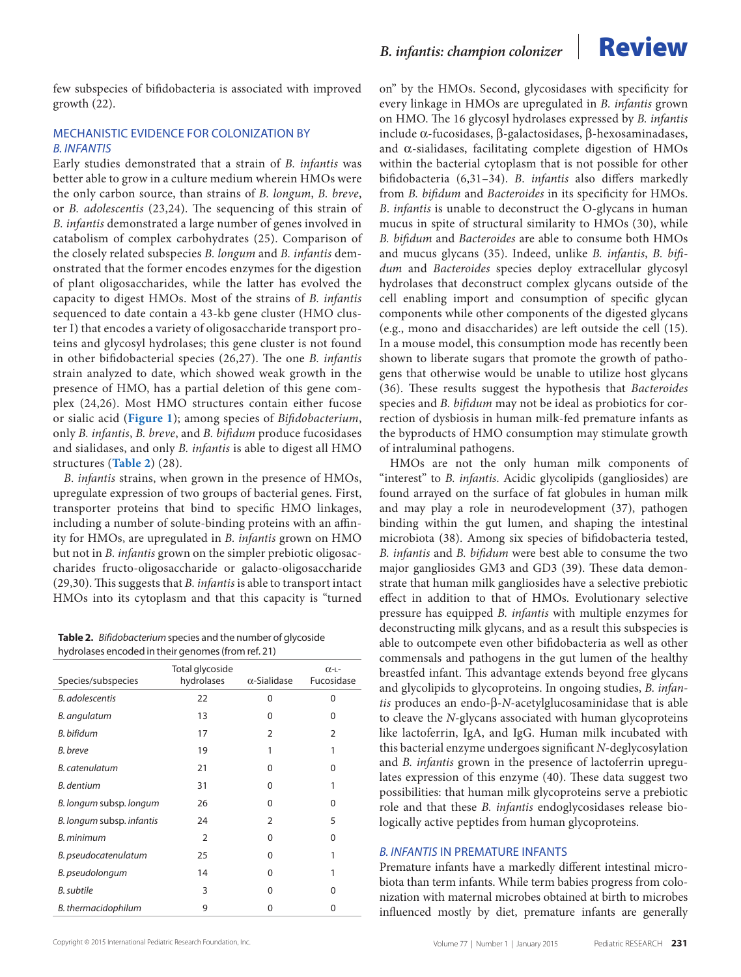few subspecies of bifidobacteria is associated with improved growth (22).

### MECHANISTIC EVIDENCE FOR COLONIZATION BY *B. INFANTIS*

Early studies demonstrated that a strain of *B. infantis* was better able to grow in a culture medium wherein HMOs were the only carbon source, than strains of *B. longum*, *B. breve*, or *B. adolescentis* (23,24). The sequencing of this strain of *B. infantis* demonstrated a large number of genes involved in catabolism of complex carbohydrates (25). Comparison of the closely related subspecies *B. longum* and *B. infantis* demonstrated that the former encodes enzymes for the digestion of plant oligosaccharides, while the latter has evolved the capacity to digest HMOs. Most of the strains of *B. infantis* sequenced to date contain a 43-kb gene cluster (HMO cluster I) that encodes a variety of oligosaccharide transport proteins and glycosyl hydrolases; this gene cluster is not found in other bifidobacterial species (26,27). The one *B. infantis* strain analyzed to date, which showed weak growth in the presence of HMO, has a partial deletion of this gene complex (24,26). Most HMO structures contain either fucose or sialic acid (**[Figure 1](#page-1-0)**); among species of *Bifidobacterium*, only *B. infantis*, *B. breve*, and *B. bifidum* produce fucosidases and sialidases, and only *B. infantis* is able to digest all HMO structures (**[Table 2](#page-2-0)**) (28).

*B*. *infantis* strains, when grown in the presence of HMOs, upregulate expression of two groups of bacterial genes. First, transporter proteins that bind to specific HMO linkages, including a number of solute-binding proteins with an affinity for HMOs, are upregulated in *B. infantis* grown on HMO but not in *B. infantis* grown on the simpler prebiotic oligosaccharides fructo-oligosaccharide or galacto-oligosaccharide (29,30). This suggests that *B. infantis* is able to transport intact HMOs into its cytoplasm and that this capacity is "turned

<span id="page-2-0"></span>**Table 2.** *Bifidobacterium* species and the number of glycoside hydrolases encoded in their genomes (from ref. 21)

| Species/subspecies        | Total glycoside<br>hydrolases | $\alpha$ -Sialidase | $O(-L -$<br>Fucosidase |
|---------------------------|-------------------------------|---------------------|------------------------|
| <b>B.</b> adolescentis    | 22                            | 0                   | 0                      |
| B. angulatum              | 13                            | 0                   | 0                      |
| B. bifidum                | 17                            | $\overline{2}$      | 2                      |
| B. breve                  | 19                            | 1                   | 1                      |
| B. catenulatum            | 21                            | 0                   | 0                      |
| B. dentium                | 31                            | 0                   | 1                      |
| B. longum subsp. longum   | 26                            | 0                   | 0                      |
| B. longum subsp. infantis | 24                            | $\overline{2}$      | 5                      |
| B. minimum                | $\overline{2}$                | 0                   | 0                      |
| B. pseudocatenulatum      | 25                            | 0                   | 1                      |
| B. pseudolongum           | 14                            | $\Omega$            |                        |
| <b>B.</b> subtile         | 3                             | 0                   | 0                      |
| B. thermacidophilum       | 9                             | 0                   | 0                      |



on" by the HMOs. Second, glycosidases with specificity for every linkage in HMOs are upregulated in *B. infantis* grown on HMO. The 16 glycosyl hydrolases expressed by *B. infantis* include α-fucosidases, β-galactosidases, β-hexosaminadases, and  $\alpha$ -sialidases, facilitating complete digestion of HMOs within the bacterial cytoplasm that is not possible for other bifidobacteria (6,31–34). *B*. *infantis* also differs markedly from *B. bifidum* and *Bacteroides* in its specificity for HMOs. *B*. *infantis* is unable to deconstruct the O-glycans in human mucus in spite of structural similarity to HMOs (30), while *B. bifidum* and *Bacteroides* are able to consume both HMOs and mucus glycans (35). Indeed, unlike *B. infantis*, *B. bifidum* and *Bacteroides* species deploy extracellular glycosyl hydrolases that deconstruct complex glycans outside of the cell enabling import and consumption of specific glycan components while other components of the digested glycans (e.g., mono and disaccharides) are left outside the cell (15). In a mouse model, this consumption mode has recently been shown to liberate sugars that promote the growth of pathogens that otherwise would be unable to utilize host glycans (36). These results suggest the hypothesis that *Bacteroides* species and *B. bifidum* may not be ideal as probiotics for correction of dysbiosis in human milk-fed premature infants as the byproducts of HMO consumption may stimulate growth of intraluminal pathogens.

HMOs are not the only human milk components of "interest" to *B. infantis*. Acidic glycolipids (gangliosides) are found arrayed on the surface of fat globules in human milk and may play a role in neurodevelopment (37), pathogen binding within the gut lumen, and shaping the intestinal microbiota (38). Among six species of bifidobacteria tested, *B. infantis* and *B. bifidum* were best able to consume the two major gangliosides GM3 and GD3 (39). These data demonstrate that human milk gangliosides have a selective prebiotic effect in addition to that of HMOs. Evolutionary selective pressure has equipped *B. infantis* with multiple enzymes for deconstructing milk glycans, and as a result this subspecies is able to outcompete even other bifidobacteria as well as other commensals and pathogens in the gut lumen of the healthy breastfed infant. This advantage extends beyond free glycans and glycolipids to glycoproteins. In ongoing studies, *B. infantis* produces an endo-β-*N*-acetylglucosaminidase that is able to cleave the *N*-glycans associated with human glycoproteins like lactoferrin, IgA, and IgG. Human milk incubated with this bacterial enzyme undergoes significant *N*-deglycosylation and *B. infantis* grown in the presence of lactoferrin upregulates expression of this enzyme (40). These data suggest two possibilities: that human milk glycoproteins serve a prebiotic role and that these *B. infantis* endoglycosidases release biologically active peptides from human glycoproteins.

#### *B. INFANTIS* IN PREMATURE INFANTS

Premature infants have a markedly different intestinal microbiota than term infants. While term babies progress from colonization with maternal microbes obtained at birth to microbes influenced mostly by diet, premature infants are generally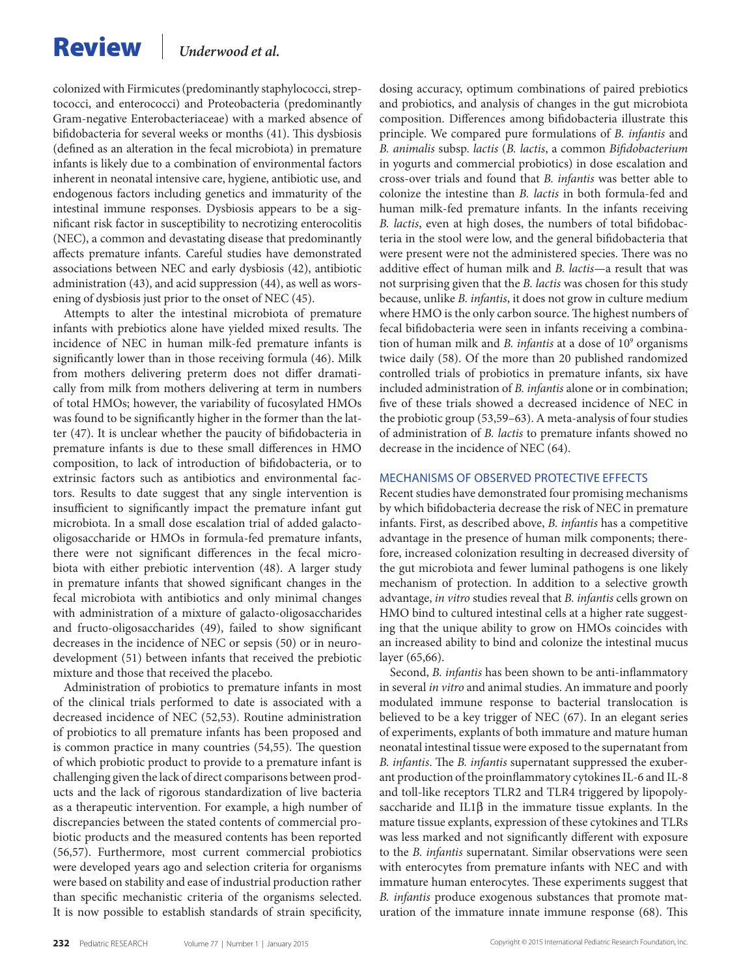# Review *Underwood et al.*

colonized with Firmicutes (predominantly staphylococci, streptococci, and enterococci) and Proteobacteria (predominantly Gram-negative Enterobacteriaceae) with a marked absence of bifidobacteria for several weeks or months (41). This dysbiosis (defined as an alteration in the fecal microbiota) in premature infants is likely due to a combination of environmental factors inherent in neonatal intensive care, hygiene, antibiotic use, and endogenous factors including genetics and immaturity of the intestinal immune responses. Dysbiosis appears to be a significant risk factor in susceptibility to necrotizing enterocolitis (NEC), a common and devastating disease that predominantly affects premature infants. Careful studies have demonstrated associations between NEC and early dysbiosis (42), antibiotic administration (43), and acid suppression (44), as well as worsening of dysbiosis just prior to the onset of NEC (45).

Attempts to alter the intestinal microbiota of premature infants with prebiotics alone have yielded mixed results. The incidence of NEC in human milk-fed premature infants is significantly lower than in those receiving formula (46). Milk from mothers delivering preterm does not differ dramatically from milk from mothers delivering at term in numbers of total HMOs; however, the variability of fucosylated HMOs was found to be significantly higher in the former than the latter (47). It is unclear whether the paucity of bifidobacteria in premature infants is due to these small differences in HMO composition, to lack of introduction of bifidobacteria, or to extrinsic factors such as antibiotics and environmental factors. Results to date suggest that any single intervention is insufficient to significantly impact the premature infant gut microbiota. In a small dose escalation trial of added galactooligosaccharide or HMOs in formula-fed premature infants, there were not significant differences in the fecal microbiota with either prebiotic intervention (48). A larger study in premature infants that showed significant changes in the fecal microbiota with antibiotics and only minimal changes with administration of a mixture of galacto-oligosaccharides and fructo-oligosaccharides (49), failed to show significant decreases in the incidence of NEC or sepsis (50) or in neurodevelopment (51) between infants that received the prebiotic mixture and those that received the placebo.

Administration of probiotics to premature infants in most of the clinical trials performed to date is associated with a decreased incidence of NEC (52,53). Routine administration of probiotics to all premature infants has been proposed and is common practice in many countries (54,55). The question of which probiotic product to provide to a premature infant is challenging given the lack of direct comparisons between products and the lack of rigorous standardization of live bacteria as a therapeutic intervention. For example, a high number of discrepancies between the stated contents of commercial probiotic products and the measured contents has been reported (56,57). Furthermore, most current commercial probiotics were developed years ago and selection criteria for organisms were based on stability and ease of industrial production rather than specific mechanistic criteria of the organisms selected. It is now possible to establish standards of strain specificity, dosing accuracy, optimum combinations of paired prebiotics and probiotics, and analysis of changes in the gut microbiota composition. Differences among bifidobacteria illustrate this principle. We compared pure formulations of *B. infantis* and *B. animalis* subsp. *lactis* (*B. lactis*, a common *Bifidobacterium* in yogurts and commercial probiotics) in dose escalation and cross-over trials and found that *B. infantis* was better able to colonize the intestine than *B. lactis* in both formula-fed and human milk-fed premature infants. In the infants receiving *B. lactis*, even at high doses, the numbers of total bifidobacteria in the stool were low, and the general bifidobacteria that were present were not the administered species. There was no additive effect of human milk and *B. lactis*—a result that was not surprising given that the *B. lactis* was chosen for this study because, unlike *B. infantis*, it does not grow in culture medium where HMO is the only carbon source. The highest numbers of fecal bifidobacteria were seen in infants receiving a combination of human milk and *B. infantis* at a dose of 10<sup>9</sup> organisms twice daily (58). Of the more than 20 published randomized controlled trials of probiotics in premature infants, six have included administration of *B. infantis* alone or in combination; five of these trials showed a decreased incidence of NEC in the probiotic group (53,59–63). A meta-analysis of four studies of administration of *B. lactis* to premature infants showed no decrease in the incidence of NEC (64).

#### MECHANISMS OF OBSERVED PROTECTIVE EFFECTS

Recent studies have demonstrated four promising mechanisms by which bifidobacteria decrease the risk of NEC in premature infants. First, as described above, *B. infantis* has a competitive advantage in the presence of human milk components; therefore, increased colonization resulting in decreased diversity of the gut microbiota and fewer luminal pathogens is one likely mechanism of protection. In addition to a selective growth advantage, *in vitro* studies reveal that *B. infantis* cells grown on HMO bind to cultured intestinal cells at a higher rate suggesting that the unique ability to grow on HMOs coincides with an increased ability to bind and colonize the intestinal mucus layer (65,66).

Second, *B. infantis* has been shown to be anti-inflammatory in several *in vitro* and animal studies. An immature and poorly modulated immune response to bacterial translocation is believed to be a key trigger of NEC (67). In an elegant series of experiments, explants of both immature and mature human neonatal intestinal tissue were exposed to the supernatant from *B. infantis*. The *B. infantis* supernatant suppressed the exuberant production of the proinflammatory cytokines IL-6 and IL-8 and toll-like receptors TLR2 and TLR4 triggered by lipopolysaccharide and IL1 $\beta$  in the immature tissue explants. In the mature tissue explants, expression of these cytokines and TLRs was less marked and not significantly different with exposure to the *B. infantis* supernatant. Similar observations were seen with enterocytes from premature infants with NEC and with immature human enterocytes. These experiments suggest that *B. infantis* produce exogenous substances that promote maturation of the immature innate immune response (68). This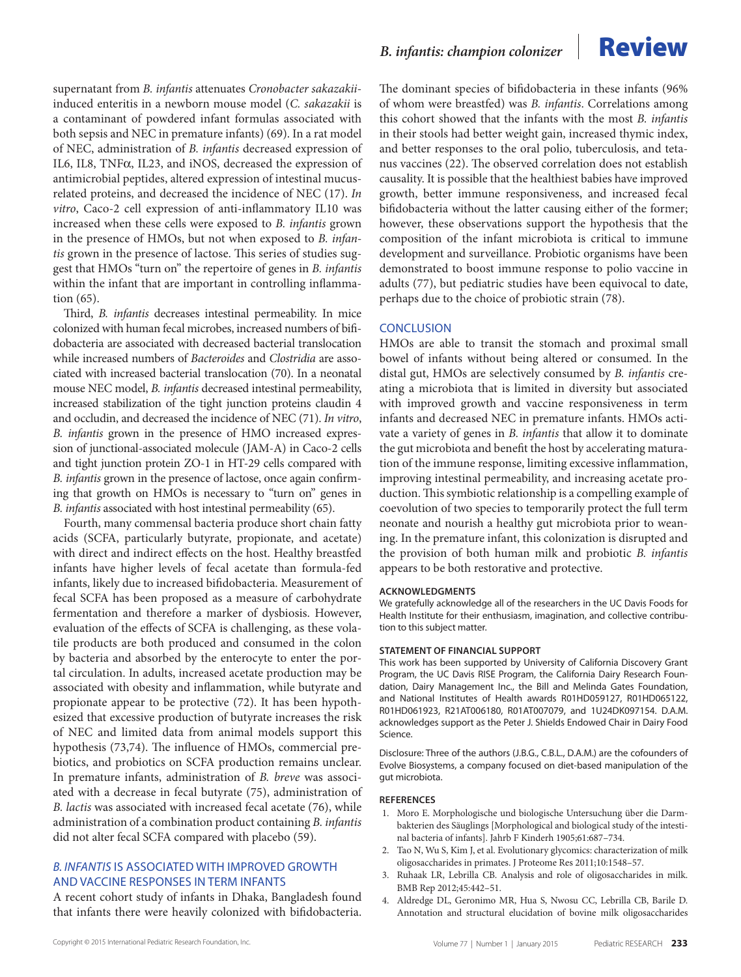supernatant from *B. infantis* attenuates *Cronobacter sakazakii*induced enteritis in a newborn mouse model (*C. sakazakii* is a contaminant of powdered infant formulas associated with both sepsis and NEC in premature infants) (69). In a rat model of NEC, administration of *B. infantis* decreased expression of IL6, IL8, TNFα, IL23, and iNOS, decreased the expression of antimicrobial peptides, altered expression of intestinal mucusrelated proteins, and decreased the incidence of NEC (17). *In vitro*, Caco-2 cell expression of anti-inflammatory IL10 was increased when these cells were exposed to *B. infantis* grown in the presence of HMOs, but not when exposed to *B. infantis* grown in the presence of lactose. This series of studies suggest that HMOs "turn on" the repertoire of genes in *B. infantis* within the infant that are important in controlling inflammation (65).

Third, *B. infantis* decreases intestinal permeability. In mice colonized with human fecal microbes, increased numbers of bifidobacteria are associated with decreased bacterial translocation while increased numbers of *Bacteroides* and *Clostridia* are associated with increased bacterial translocation (70). In a neonatal mouse NEC model, *B. infantis* decreased intestinal permeability, increased stabilization of the tight junction proteins claudin 4 and occludin, and decreased the incidence of NEC (71). *In vitro*, *B. infantis* grown in the presence of HMO increased expression of junctional-associated molecule (JAM-A) in Caco-2 cells and tight junction protein ZO-1 in HT-29 cells compared with *B. infantis* grown in the presence of lactose, once again confirming that growth on HMOs is necessary to "turn on" genes in *B. infantis* associated with host intestinal permeability (65).

Fourth, many commensal bacteria produce short chain fatty acids (SCFA, particularly butyrate, propionate, and acetate) with direct and indirect effects on the host. Healthy breastfed infants have higher levels of fecal acetate than formula-fed infants, likely due to increased bifidobacteria. Measurement of fecal SCFA has been proposed as a measure of carbohydrate fermentation and therefore a marker of dysbiosis. However, evaluation of the effects of SCFA is challenging, as these volatile products are both produced and consumed in the colon by bacteria and absorbed by the enterocyte to enter the portal circulation. In adults, increased acetate production may be associated with obesity and inflammation, while butyrate and propionate appear to be protective (72). It has been hypothesized that excessive production of butyrate increases the risk of NEC and limited data from animal models support this hypothesis (73,74). The influence of HMOs, commercial prebiotics, and probiotics on SCFA production remains unclear. In premature infants, administration of *B. breve* was associated with a decrease in fecal butyrate (75), administration of *B. lactis* was associated with increased fecal acetate (76), while administration of a combination product containing *B. infantis* did not alter fecal SCFA compared with placebo (59).

#### *B. INFANTIS* IS ASSOCIATED WITH IMPROVED GROWTH AND VACCINE RESPONSES IN TERM INFANTS

A recent cohort study of infants in Dhaka, Bangladesh found that infants there were heavily colonized with bifidobacteria.

### *B. infantis: champion colonizer* **Review**



#### **CONCLUSION**

HMOs are able to transit the stomach and proximal small bowel of infants without being altered or consumed. In the distal gut, HMOs are selectively consumed by *B. infantis* creating a microbiota that is limited in diversity but associated with improved growth and vaccine responsiveness in term infants and decreased NEC in premature infants. HMOs activate a variety of genes in *B. infantis* that allow it to dominate the gut microbiota and benefit the host by accelerating maturation of the immune response, limiting excessive inflammation, improving intestinal permeability, and increasing acetate production. This symbiotic relationship is a compelling example of coevolution of two species to temporarily protect the full term neonate and nourish a healthy gut microbiota prior to weaning. In the premature infant, this colonization is disrupted and the provision of both human milk and probiotic *B. infantis* appears to be both restorative and protective.

#### **ACKNOWLEDGMENTS**

We gratefully acknowledge all of the researchers in the UC Davis Foods for Health Institute for their enthusiasm, imagination, and collective contribution to this subject matter.

#### **STATEMENT OF FINANCIAL SUPPORT**

This work has been supported by University of California Discovery Grant Program, the UC Davis RISE Program, the California Dairy Research Foundation, Dairy Management Inc., the Bill and Melinda Gates Foundation, and National Institutes of Health awards R01HD059127, R01HD065122, R01HD061923, R21AT006180, R01AT007079, and 1U24DK097154. D.A.M. acknowledges support as the Peter J. Shields Endowed Chair in Dairy Food Science.

Disclosure: Three of the authors (J.B.G., C.B.L., D.A.M.) are the cofounders of Evolve Biosystems, a company focused on diet-based manipulation of the gut microbiota.

#### **References**

- 1. Moro E. Morphologische und biologische Untersuchung über die Darmbakterien des Säuglings [Morphological and biological study of the intestinal bacteria of infants]. Jahrb F Kinderh 1905;61:687–734.
- 2. Tao N, Wu S, Kim J, et al. Evolutionary glycomics: characterization of milk oligosaccharides in primates. J Proteome Res 2011;10:1548–57.
- 3. Ruhaak LR, Lebrilla CB. Analysis and role of oligosaccharides in milk. BMB Rep 2012;45:442–51.
- 4. Aldredge DL, Geronimo MR, Hua S, Nwosu CC, Lebrilla CB, Barile D. Annotation and structural elucidation of bovine milk oligosaccharides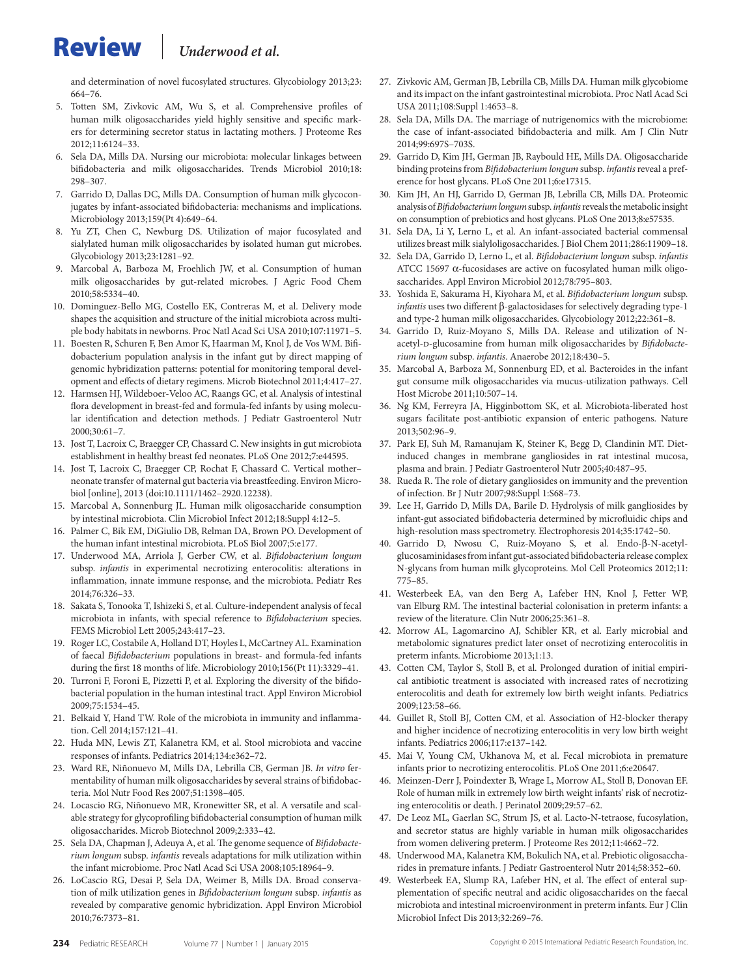# Review *Underwood et al.*

and determination of novel fucosylated structures. Glycobiology 2013;23: 664–76.

- 5. Totten SM, Zivkovic AM, Wu S, et al. Comprehensive profiles of human milk oligosaccharides yield highly sensitive and specific markers for determining secretor status in lactating mothers. J Proteome Res 2012;11:6124–33.
- 6. Sela DA, Mills DA. Nursing our microbiota: molecular linkages between bifidobacteria and milk oligosaccharides. Trends Microbiol 2010;18: 298–307.
- 7. Garrido D, Dallas DC, Mills DA. Consumption of human milk glycoconjugates by infant-associated bifidobacteria: mechanisms and implications. Microbiology 2013;159(Pt 4):649–64.
- 8. Yu ZT, Chen C, Newburg DS. Utilization of major fucosylated and sialylated human milk oligosaccharides by isolated human gut microbes. Glycobiology 2013;23:1281–92.
- 9. Marcobal A, Barboza M, Froehlich JW, et al. Consumption of human milk oligosaccharides by gut-related microbes. J Agric Food Chem 2010;58:5334–40.
- 10. Dominguez-Bello MG, Costello EK, Contreras M, et al. Delivery mode shapes the acquisition and structure of the initial microbiota across multiple body habitats in newborns. Proc Natl Acad Sci USA 2010;107:11971–5.
- 11. Boesten R, Schuren F, Ben Amor K, Haarman M, Knol J, de Vos WM. Bifidobacterium population analysis in the infant gut by direct mapping of genomic hybridization patterns: potential for monitoring temporal development and effects of dietary regimens. Microb Biotechnol 2011;4:417–27.
- 12. Harmsen HJ, Wildeboer-Veloo AC, Raangs GC, et al. Analysis of intestinal flora development in breast-fed and formula-fed infants by using molecular identification and detection methods. J Pediatr Gastroenterol Nutr 2000;30:61–7.
- 13. Jost T, Lacroix C, Braegger CP, Chassard C. New insights in gut microbiota establishment in healthy breast fed neonates. PLoS One 2012;7:e44595.
- Jost T, Lacroix C, Braegger CP, Rochat F, Chassard C. Vertical motherneonate transfer of maternal gut bacteria via breastfeeding. Environ Microbiol [online], 2013 (doi:10.1111/1462–2920.12238).
- 15. Marcobal A, Sonnenburg JL. Human milk oligosaccharide consumption by intestinal microbiota. Clin Microbiol Infect 2012;18:Suppl 4:12–5.
- 16. Palmer C, Bik EM, DiGiulio DB, Relman DA, Brown PO. Development of the human infant intestinal microbiota. PLoS Biol 2007;5:e177.
- 17. Underwood MA, Arriola J, Gerber CW, et al. *Bifidobacterium longum* subsp. *infantis* in experimental necrotizing enterocolitis: alterations in inflammation, innate immune response, and the microbiota. Pediatr Res 2014;76:326–33.
- 18. Sakata S, Tonooka T, Ishizeki S, et al. Culture-independent analysis of fecal microbiota in infants, with special reference to *Bifidobacterium* species. FEMS Microbiol Lett 2005;243:417–23.
- 19. Roger LC, Costabile A, Holland DT, Hoyles L, McCartney AL. Examination of faecal *Bifidobacterium* populations in breast- and formula-fed infants during the first 18 months of life. Microbiology 2010;156(Pt 11):3329–41.
- Turroni F, Foroni E, Pizzetti P, et al. Exploring the diversity of the bifidobacterial population in the human intestinal tract. Appl Environ Microbiol 2009;75:1534–45.
- 21. Belkaid Y, Hand TW. Role of the microbiota in immunity and inflammation. Cell 2014;157:121–41.
- 22. Huda MN, Lewis ZT, Kalanetra KM, et al. Stool microbiota and vaccine responses of infants. Pediatrics 2014;134:e362–72.
- 23. Ward RE, Niñonuevo M, Mills DA, Lebrilla CB, German JB. *In vitro* fermentability of human milk oligosaccharides by several strains of bifidobacteria. Mol Nutr Food Res 2007;51:1398–405.
- 24. Locascio RG, Niñonuevo MR, Kronewitter SR, et al. A versatile and scalable strategy for glycoprofiling bifidobacterial consumption of human milk oligosaccharides. Microb Biotechnol 2009;2:333–42.
- 25. Sela DA, Chapman J, Adeuya A, et al. The genome sequence of *Bifidobacterium longum* subsp. *infantis* reveals adaptations for milk utilization within the infant microbiome. Proc Natl Acad Sci USA 2008;105:18964–9.
- 26. LoCascio RG, Desai P, Sela DA, Weimer B, Mills DA. Broad conservation of milk utilization genes in *Bifidobacterium longum* subsp. *infantis* as revealed by comparative genomic hybridization. Appl Environ Microbiol 2010;76:7373–81.
- 27. Zivkovic AM, German JB, Lebrilla CB, Mills DA. Human milk glycobiome and its impact on the infant gastrointestinal microbiota. Proc Natl Acad Sci USA 2011;108:Suppl 1:4653–8.
- 28. Sela DA, Mills DA. The marriage of nutrigenomics with the microbiome: the case of infant-associated bifidobacteria and milk. Am J Clin Nutr 2014;99:697S–703S.
- 29. Garrido D, Kim JH, German JB, Raybould HE, Mills DA. Oligosaccharide binding proteins from *Bifidobacterium longum* subsp. *infantis* reveal a preference for host glycans. PLoS One 2011;6:e17315.
- 30. Kim JH, An HJ, Garrido D, German JB, Lebrilla CB, Mills DA. Proteomic analysis of *Bifidobacterium longum* subsp. *infantis* reveals the metabolic insight on consumption of prebiotics and host glycans. PLoS One 2013;8:e57535.
- 31. Sela DA, Li Y, Lerno L, et al. An infant-associated bacterial commensal utilizes breast milk sialyloligosaccharides. J Biol Chem 2011;286:11909–18.
- 32. Sela DA, Garrido D, Lerno L, et al. *Bifidobacterium longum* subsp. *infantis* ATCC 15697 α-fucosidases are active on fucosylated human milk oligosaccharides. Appl Environ Microbiol 2012;78:795–803.
- 33. Yoshida E, Sakurama H, Kiyohara M, et al. *Bifidobacterium longum* subsp. *infantis* uses two different β-galactosidases for selectively degrading type-1 and type-2 human milk oligosaccharides. Glycobiology 2012;22:361–8.
- 34. Garrido D, Ruiz-Moyano S, Mills DA. Release and utilization of Nacetyl-D-glucosamine from human milk oligosaccharides by *Bifidobacterium longum* subsp. *infantis*. Anaerobe 2012;18:430–5.
- 35. Marcobal A, Barboza M, Sonnenburg ED, et al. Bacteroides in the infant gut consume milk oligosaccharides via mucus-utilization pathways. Cell Host Microbe 2011;10:507–14.
- 36. Ng KM, Ferreyra JA, Higginbottom SK, et al. Microbiota-liberated host sugars facilitate post-antibiotic expansion of enteric pathogens. Nature 2013;502:96–9.
- 37. Park EJ, Suh M, Ramanujam K, Steiner K, Begg D, Clandinin MT. Dietinduced changes in membrane gangliosides in rat intestinal mucosa, plasma and brain. J Pediatr Gastroenterol Nutr 2005;40:487–95.
- 38. Rueda R. The role of dietary gangliosides on immunity and the prevention of infection. Br J Nutr 2007;98:Suppl 1:S68–73.
- 39. Lee H, Garrido D, Mills DA, Barile D. Hydrolysis of milk gangliosides by infant-gut associated bifidobacteria determined by microfluidic chips and high-resolution mass spectrometry. Electrophoresis 2014;35:1742–50.
- 40. Garrido D, Nwosu C, Ruiz-Moyano S, et al. Endo-β-N-acetylglucosaminidases from infant gut-associated bifidobacteria release complex N-glycans from human milk glycoproteins. Mol Cell Proteomics 2012;11: 775–85.
- 41. Westerbeek EA, van den Berg A, Lafeber HN, Knol J, Fetter WP, van Elburg RM. The intestinal bacterial colonisation in preterm infants: a review of the literature. Clin Nutr 2006;25:361–8.
- 42. Morrow AL, Lagomarcino AJ, Schibler KR, et al. Early microbial and metabolomic signatures predict later onset of necrotizing enterocolitis in preterm infants. Microbiome 2013;1:13.
- 43. Cotten CM, Taylor S, Stoll B, et al. Prolonged duration of initial empirical antibiotic treatment is associated with increased rates of necrotizing enterocolitis and death for extremely low birth weight infants. Pediatrics 2009;123:58–66.
- 44. Guillet R, Stoll BJ, Cotten CM, et al. Association of H2-blocker therapy and higher incidence of necrotizing enterocolitis in very low birth weight infants. Pediatrics 2006;117:e137–142.
- 45. Mai V, Young CM, Ukhanova M, et al. Fecal microbiota in premature infants prior to necrotizing enterocolitis. PLoS One 2011;6:e20647.
- 46. Meinzen-Derr J, Poindexter B, Wrage L, Morrow AL, Stoll B, Donovan EF. Role of human milk in extremely low birth weight infants' risk of necrotizing enterocolitis or death. J Perinatol 2009;29:57–62.
- 47. De Leoz ML, Gaerlan SC, Strum JS, et al. Lacto-N-tetraose, fucosylation, and secretor status are highly variable in human milk oligosaccharides from women delivering preterm. J Proteome Res 2012;11:4662–72.
- 48. Underwood MA, Kalanetra KM, Bokulich NA, et al. Prebiotic oligosaccharides in premature infants. J Pediatr Gastroenterol Nutr 2014;58:352–60.
- 49. Westerbeek EA, Slump RA, Lafeber HN, et al. The effect of enteral supplementation of specific neutral and acidic oligosaccharides on the faecal microbiota and intestinal microenvironment in preterm infants. Eur J Clin Microbiol Infect Dis 2013;32:269–76.